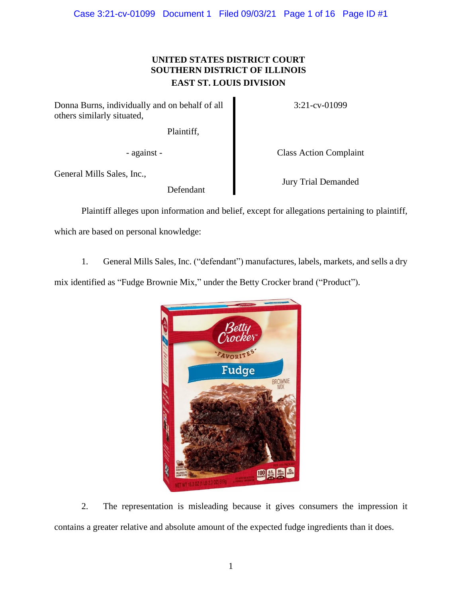## **UNITED STATES DISTRICT COURT SOUTHERN DISTRICT OF ILLINOIS EAST ST. LOUIS DIVISION**

Donna Burns, individually and on behalf of all others similarly situated,

Plaintiff,

General Mills Sales, Inc.,

Defendant

3:21-cv-01099

- against - Class Action Complaint

Jury Trial Demanded

Plaintiff alleges upon information and belief, except for allegations pertaining to plaintiff,

which are based on personal knowledge:

1. General Mills Sales, Inc. ("defendant") manufactures, labels, markets, and sells a dry

mix identified as "Fudge Brownie Mix," under the Betty Crocker brand ("Product").



2. The representation is misleading because it gives consumers the impression it contains a greater relative and absolute amount of the expected fudge ingredients than it does.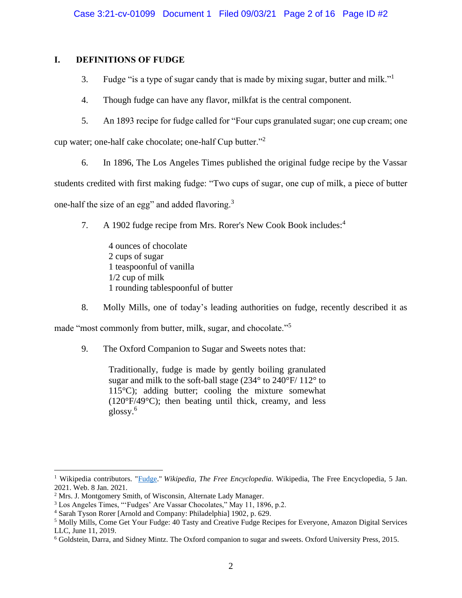## **I. DEFINITIONS OF FUDGE**

- 3. Fudge "is a type of sugar candy that is made by mixing sugar, butter and milk."<sup>1</sup>
- 4. Though fudge can have any flavor, milkfat is the central component.
- 5. An 1893 recipe for fudge called for "Four cups granulated sugar; one cup cream; one

cup water; one-half cake chocolate; one-half Cup butter."<sup>2</sup>

6. In 1896, The Los Angeles Times published the original fudge recipe by the Vassar

students credited with first making fudge: "Two cups of sugar, one cup of milk, a piece of butter

one-half the size of an egg" and added flavoring.<sup>3</sup>

- 7. A 1902 fudge recipe from Mrs. Rorer's New Cook Book includes:<sup>4</sup>
	- 4 ounces of chocolate 2 cups of sugar 1 teaspoonful of vanilla 1/2 cup of milk 1 rounding tablespoonful of butter
- 8. Molly Mills, one of today's leading authorities on fudge, recently described it as

made "most commonly from butter, milk, sugar, and chocolate."<sup>5</sup>

9. The Oxford Companion to Sugar and Sweets notes that:

Traditionally, fudge is made by gently boiling granulated sugar and milk to the soft-ball stage (234° to 240°F/ 112° to  $115^{\circ}$ C); adding butter; cooling the mixture somewhat (120°F/49°C); then beating until thick, creamy, and less glossy.<sup>6</sup>

<sup>1</sup> Wikipedia contributors. ["Fudge.](https://en.wikipedia.org/wiki/Fudge)" *Wikipedia, The Free Encyclopedia*. Wikipedia, The Free Encyclopedia, 5 Jan. 2021. Web. 8 Jan. 2021.

<sup>2</sup> Mrs. J. Montgomery Smith, of Wisconsin, Alternate Lady Manager.

<sup>3</sup> Los Angeles Times, "'Fudges' Are Vassar Chocolates," May 11, 1896, p.2.

<sup>4</sup> Sarah Tyson Rorer [Arnold and Company: Philadelphia] 1902, p. 629.

<sup>5</sup> Molly Mills, Come Get Your Fudge: 40 Tasty and Creative Fudge Recipes for Everyone, Amazon Digital Services LLC, June 11, 2019.

<sup>6</sup> Goldstein, Darra, and Sidney Mintz. The Oxford companion to sugar and sweets. Oxford University Press, 2015.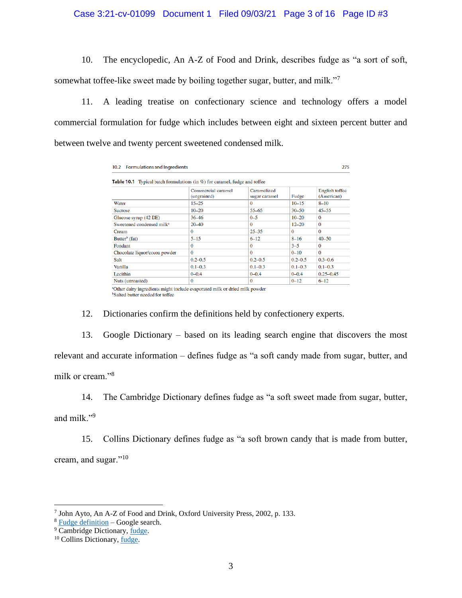## Case 3:21-cv-01099 Document 1 Filed 09/03/21 Page 3 of 16 Page ID #3

10. The encyclopedic, An A-Z of Food and Drink, describes fudge as "a sort of soft, somewhat toffee-like sweet made by boiling together sugar, butter, and milk."<sup>7</sup>

11. A leading treatise on confectionary science and technology offers a model commercial formulation for fudge which includes between eight and sixteen percent butter and between twelve and twenty percent sweetened condensed milk.

| <b>Formulations and Ingredients</b><br>10.2                                       |                                   |                              |             |                              |  |  |  |
|-----------------------------------------------------------------------------------|-----------------------------------|------------------------------|-------------|------------------------------|--|--|--|
| <b>Table 10.1</b> Typical batch formulations (in %) for caramel, fudge and toffee |                                   |                              |             |                              |  |  |  |
|                                                                                   | Commercial caramel<br>(ungrained) | Caramelized<br>sugar caramel | Fudge       | English toffee<br>(American) |  |  |  |
| Water                                                                             | $15 - 25$                         | $\Omega$                     | $10 - 15$   | $8 - 10$                     |  |  |  |
| <b>Sucrose</b>                                                                    | $10 - 20$                         | $55 - 65$                    | $30 - 50$   | $45 - 55$                    |  |  |  |
| Glucose syrup (42 DE)                                                             | 36 46                             | $0 - 5$                      | $10 - 20$   | $\Omega$                     |  |  |  |
| Sweetened condensed milk <sup>a</sup>                                             | $20 - 40$                         | $\Omega$                     | $12 - 20$   | $\Omega$                     |  |  |  |
| Cream                                                                             | $\Omega$                          | $25 - 35$                    | $\Omega$    | $\Omega$                     |  |  |  |
| Butter <sup>b</sup> (fat)                                                         | $5 - 15$                          | $6 - 12$                     | $8 - 16$    | $40 - 50$                    |  |  |  |
| Fondant                                                                           | $\Omega$                          | $\Omega$                     | $3 - 5$     | $\Omega$                     |  |  |  |
| Chocolate liquor/cocoa powder                                                     | $\Omega$                          | $\Omega$                     | $0 - 10$    | $\Omega$                     |  |  |  |
| Salt                                                                              | $0.2 - 0.5$                       | $0.2 - 0.5$                  | $0.2 - 0.5$ | $0.3 - 0.6$                  |  |  |  |
| Vanilla                                                                           | $0.1 - 0.3$                       | $0.1 - 0.3$                  | $0.1 - 0.3$ | $0.1 - 0.3$                  |  |  |  |
| Lecithin                                                                          | $0 - 0.4$                         | $0 - 0.4$                    | $0 - 0.4$   | $0.25 - 0.45$                |  |  |  |
| Nuts (unroasted)                                                                  | $\bf{0}$                          | $\Omega$                     | $0 - 12$    | $6 - 12$                     |  |  |  |

<sup>a</sup>Other dairy ingredients might include evaporated milk or dried milk powder <sup>b</sup>Salted butter needed for toffee

12. Dictionaries confirm the definitions held by confectionery experts.

13. Google Dictionary – based on its leading search engine that discovers the most relevant and accurate information – defines fudge as "a soft candy made from sugar, butter, and milk or cream."<sup>8</sup>

14. The Cambridge Dictionary defines fudge as "a soft sweet made from sugar, butter, and milk."<sup>9</sup>

15. Collins Dictionary defines fudge as "a soft brown candy that is made from butter, cream, and sugar."<sup>10</sup>

<sup>7</sup> John Ayto, An A-Z of Food and Drink, Oxford University Press, 2002, p. 133.

<sup>8</sup> [Fudge definition](https://www.google.com/search?q=fudge+definition&rlz=1C1GCEA_enUS893US893&oq=fudge+defi&aqs=chrome.0.0i457j69i57j0j0i22i30j0i22i30i395l6.1835j1j9&sourceid=chrome&ie=UTF-8) – Google search.

<sup>&</sup>lt;sup>9</sup> Cambridge Dictionary, [fudge.](https://dictionary.cambridge.org/us/dictionary/english/fudge)

<sup>10</sup> Collins Dictionary, [fudge.](https://www.collinsdictionary.com/us/dictionary/english/fudge)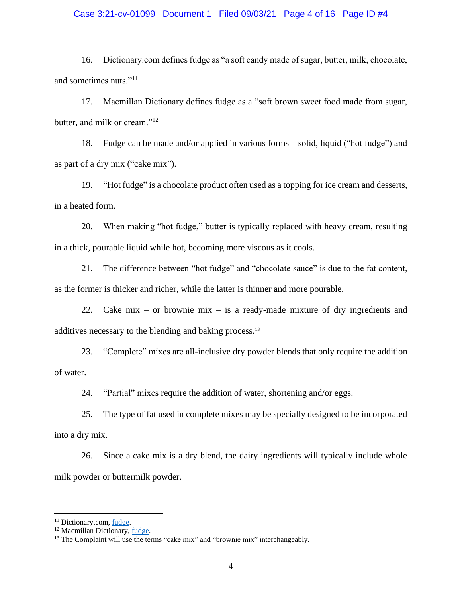## Case 3:21-cv-01099 Document 1 Filed 09/03/21 Page 4 of 16 Page ID #4

16. Dictionary.com defines fudge as "a soft candy made of sugar, butter, milk, chocolate, and sometimes nuts."<sup>11</sup>

17. Macmillan Dictionary defines fudge as a "soft brown sweet food made from sugar, butter, and milk or cream."<sup>12</sup>

18. Fudge can be made and/or applied in various forms – solid, liquid ("hot fudge") and as part of a dry mix ("cake mix").

19. "Hot fudge" is a chocolate product often used as a topping for ice cream and desserts, in a heated form.

20. When making "hot fudge," butter is typically replaced with heavy cream, resulting in a thick, pourable liquid while hot, becoming more viscous as it cools.

21. The difference between "hot fudge" and "chocolate sauce" is due to the fat content, as the former is thicker and richer, while the latter is thinner and more pourable.

22. Cake mix – or brownie mix – is a ready-made mixture of dry ingredients and additives necessary to the blending and baking process.<sup>13</sup>

23. "Complete" mixes are all-inclusive dry powder blends that only require the addition of water.

24. "Partial" mixes require the addition of water, shortening and/or eggs.

25. The type of fat used in complete mixes may be specially designed to be incorporated into a dry mix.

26. Since a cake mix is a dry blend, the dairy ingredients will typically include whole milk powder or buttermilk powder.

<sup>&</sup>lt;sup>11</sup> Dictionary.com, [fudge.](https://www.dictionary.com/browse/fudge)

<sup>&</sup>lt;sup>12</sup> Macmillan Dictionary, *fudge*.

<sup>&</sup>lt;sup>13</sup> The Complaint will use the terms "cake mix" and "brownie mix" interchangeably.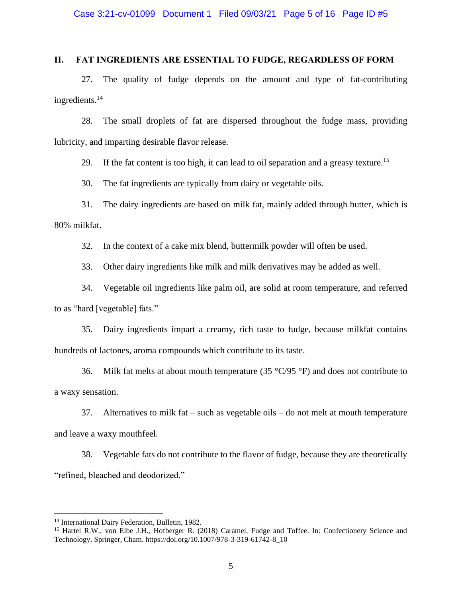## **II. FAT INGREDIENTS ARE ESSENTIAL TO FUDGE, REGARDLESS OF FORM**

27. The quality of fudge depends on the amount and type of fat-contributing ingredients.<sup>14</sup>

28. The small droplets of fat are dispersed throughout the fudge mass, providing lubricity, and imparting desirable flavor release.

29. If the fat content is too high, it can lead to oil separation and a greasy texture.<sup>15</sup>

30. The fat ingredients are typically from dairy or vegetable oils.

31. The dairy ingredients are based on milk fat, mainly added through butter, which is 80% milkfat.

32. In the context of a cake mix blend, buttermilk powder will often be used.

33. Other dairy ingredients like milk and milk derivatives may be added as well.

34. Vegetable oil ingredients like palm oil, are solid at room temperature, and referred to as "hard [vegetable] fats."

35. Dairy ingredients impart a creamy, rich taste to fudge, because milkfat contains hundreds of lactones, aroma compounds which contribute to its taste.

36. Milk fat melts at about mouth temperature (35  $\degree$ C/95  $\degree$ F) and does not contribute to a waxy sensation.

37. Alternatives to milk fat – such as vegetable oils – do not melt at mouth temperature and leave a waxy mouthfeel.

38. Vegetable fats do not contribute to the flavor of fudge, because they are theoretically "refined, bleached and deodorized."

<sup>&</sup>lt;sup>14</sup> International Dairy Federation, Bulletin, 1982.

<sup>&</sup>lt;sup>15</sup> Hartel R.W., von Elbe J.H., Hofberger R. (2018) Caramel, Fudge and Toffee. In: Confectionery Science and Technology. Springer, Cham. https://doi.org/10.1007/978-3-319-61742-8\_10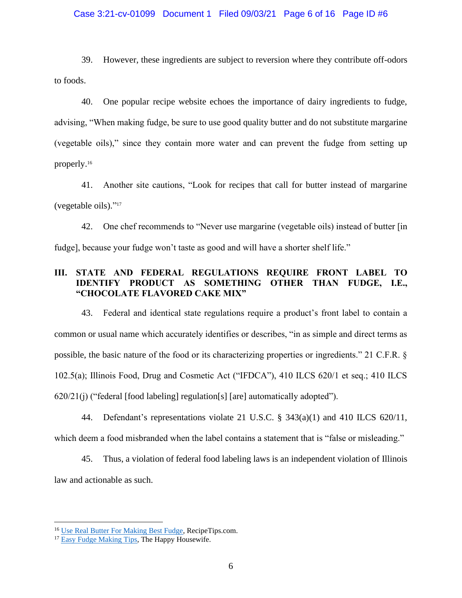## Case 3:21-cv-01099 Document 1 Filed 09/03/21 Page 6 of 16 Page ID #6

39. However, these ingredients are subject to reversion where they contribute off-odors to foods.

40. One popular recipe website echoes the importance of dairy ingredients to fudge, advising, "When making fudge, be sure to use good quality butter and do not substitute margarine (vegetable oils)," since they contain more water and can prevent the fudge from setting up properly.<sup>16</sup>

41. Another site cautions, "Look for recipes that call for butter instead of margarine (vegetable oils)." 17

42. One chef recommends to "Never use margarine (vegetable oils) instead of butter [in fudge], because your fudge won't taste as good and will have a shorter shelf life."

## **III. STATE AND FEDERAL REGULATIONS REQUIRE FRONT LABEL TO IDENTIFY PRODUCT AS SOMETHING OTHER THAN FUDGE, I.E., "CHOCOLATE FLAVORED CAKE MIX"**

43. Federal and identical state regulations require a product's front label to contain a common or usual name which accurately identifies or describes, "in as simple and direct terms as possible, the basic nature of the food or its characterizing properties or ingredients." 21 C.F.R. § 102.5(a); Illinois Food, Drug and Cosmetic Act ("IFDCA"), 410 ILCS 620/1 et seq.; 410 ILCS  $620/21$ (j) ("federal [food labeling] regulation[s] [are] automatically adopted").

44. Defendant's representations violate 21 U.S.C. § 343(a)(1) and 410 ILCS 620/11, which deem a food misbranded when the label contains a statement that is "false or misleading."

45. Thus, a violation of federal food labeling laws is an independent violation of Illinois law and actionable as such.

<sup>&</sup>lt;sup>16</sup> [Use Real Butter For Making Best Fudge,](https://www.recipetips.com/quick-tips-ideas/use-real-butter-for-making-best-fudge.asp) RecipeTips.com.

<sup>&</sup>lt;sup>17</sup> [Easy Fudge Making Tips,](https://thehappyhousewife.com/cooking/easy-fudge-making-tips/) The Happy Housewife.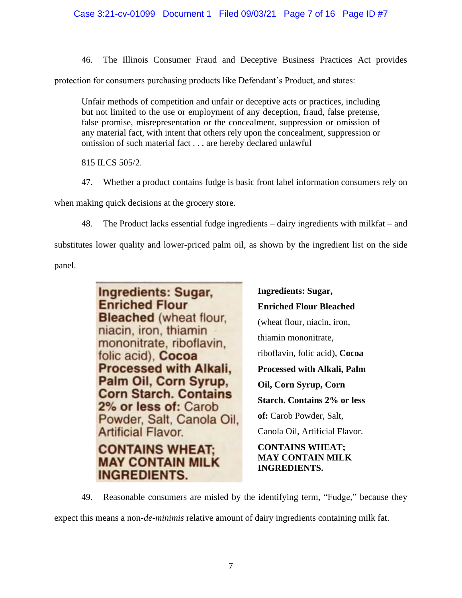46. The Illinois Consumer Fraud and Deceptive Business Practices Act provides

protection for consumers purchasing products like Defendant's Product, and states:

Unfair methods of competition and unfair or deceptive acts or practices, including but not limited to the use or employment of any deception, fraud, false pretense, false promise, misrepresentation or the concealment, suppression or omission of any material fact, with intent that others rely upon the concealment, suppression or omission of such material fact . . . are hereby declared unlawful

815 ILCS 505/2.

47. Whether a product contains fudge is basic front label information consumers rely on

when making quick decisions at the grocery store.

48. The Product lacks essential fudge ingredients – dairy ingredients with milkfat – and substitutes lower quality and lower-priced palm oil, as shown by the ingredient list on the side panel.



**Ingredients: Sugar, Enriched Flour Bleached** (wheat flour, niacin, iron, thiamin mononitrate, riboflavin, folic acid), **Cocoa Processed with Alkali, Palm Oil, Corn Syrup, Corn Starch. Contains 2% or less of:** Carob Powder, Salt, Canola Oil, Artificial Flavor. **CONTAINS WHEAT; MAY CONTAIN MILK INGREDIENTS.**

49. Reasonable consumers are misled by the identifying term, "Fudge," because they

expect this means a non-*de-minimis* relative amount of dairy ingredients containing milk fat.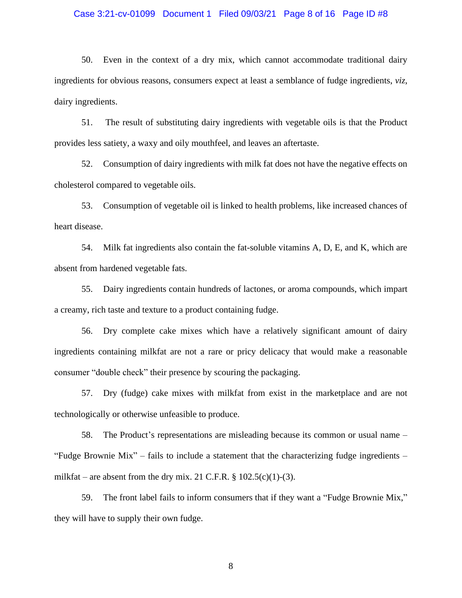#### Case 3:21-cv-01099 Document 1 Filed 09/03/21 Page 8 of 16 Page ID #8

50. Even in the context of a dry mix, which cannot accommodate traditional dairy ingredients for obvious reasons, consumers expect at least a semblance of fudge ingredients, *viz*, dairy ingredients.

51. The result of substituting dairy ingredients with vegetable oils is that the Product provides less satiety, a waxy and oily mouthfeel, and leaves an aftertaste.

52. Consumption of dairy ingredients with milk fat does not have the negative effects on cholesterol compared to vegetable oils.

53. Consumption of vegetable oil is linked to health problems, like increased chances of heart disease.

54. Milk fat ingredients also contain the fat-soluble vitamins A, D, E, and K, which are absent from hardened vegetable fats.

55. Dairy ingredients contain hundreds of lactones, or aroma compounds, which impart a creamy, rich taste and texture to a product containing fudge.

56. Dry complete cake mixes which have a relatively significant amount of dairy ingredients containing milkfat are not a rare or pricy delicacy that would make a reasonable consumer "double check" their presence by scouring the packaging.

57. Dry (fudge) cake mixes with milkfat from exist in the marketplace and are not technologically or otherwise unfeasible to produce.

58. The Product's representations are misleading because its common or usual name – "Fudge Brownie Mix" – fails to include a statement that the characterizing fudge ingredients – milkfat – are absent from the dry mix. 21 C.F.R.  $\S 102.5(c)(1)-(3)$ .

59. The front label fails to inform consumers that if they want a "Fudge Brownie Mix," they will have to supply their own fudge.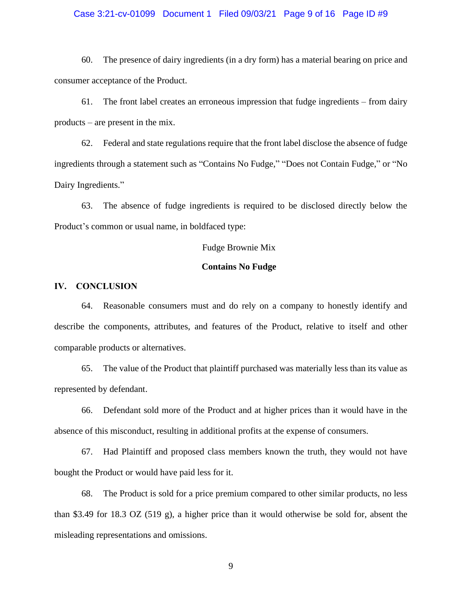## Case 3:21-cv-01099 Document 1 Filed 09/03/21 Page 9 of 16 Page ID #9

60. The presence of dairy ingredients (in a dry form) has a material bearing on price and consumer acceptance of the Product.

61. The front label creates an erroneous impression that fudge ingredients – from dairy products – are present in the mix.

62. Federal and state regulations require that the front label disclose the absence of fudge ingredients through a statement such as "Contains No Fudge," "Does not Contain Fudge," or "No Dairy Ingredients."

63. The absence of fudge ingredients is required to be disclosed directly below the Product's common or usual name, in boldfaced type:

## Fudge Brownie Mix

#### **Contains No Fudge**

## **IV. CONCLUSION**

64. Reasonable consumers must and do rely on a company to honestly identify and describe the components, attributes, and features of the Product, relative to itself and other comparable products or alternatives.

65. The value of the Product that plaintiff purchased was materially less than its value as represented by defendant.

66. Defendant sold more of the Product and at higher prices than it would have in the absence of this misconduct, resulting in additional profits at the expense of consumers.

67. Had Plaintiff and proposed class members known the truth, they would not have bought the Product or would have paid less for it.

68. The Product is sold for a price premium compared to other similar products, no less than \$3.49 for 18.3 OZ (519 g), a higher price than it would otherwise be sold for, absent the misleading representations and omissions.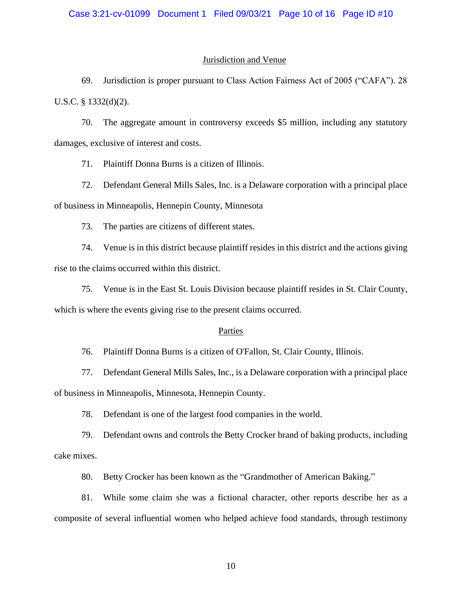### Jurisdiction and Venue

69. Jurisdiction is proper pursuant to Class Action Fairness Act of 2005 ("CAFA"). 28 U.S.C. § 1332(d)(2).

70. The aggregate amount in controversy exceeds \$5 million, including any statutory damages, exclusive of interest and costs.

71. Plaintiff Donna Burns is a citizen of Illinois.

72. Defendant General Mills Sales, Inc. is a Delaware corporation with a principal place of business in Minneapolis, Hennepin County, Minnesota

73. The parties are citizens of different states.

74. Venue is in this district because plaintiff resides in this district and the actions giving rise to the claims occurred within this district.

75. Venue is in the East St. Louis Division because plaintiff resides in St. Clair County, which is where the events giving rise to the present claims occurred.

#### Parties

76. Plaintiff Donna Burns is a citizen of O'Fallon, St. Clair County, Illinois.

77. Defendant General Mills Sales, Inc., is a Delaware corporation with a principal place of business in Minneapolis, Minnesota, Hennepin County.

78. Defendant is one of the largest food companies in the world.

79. Defendant owns and controls the Betty Crocker brand of baking products, including cake mixes.

80. Betty Crocker has been known as the "Grandmother of American Baking."

81. While some claim she was a fictional character, other reports describe her as a composite of several influential women who helped achieve food standards, through testimony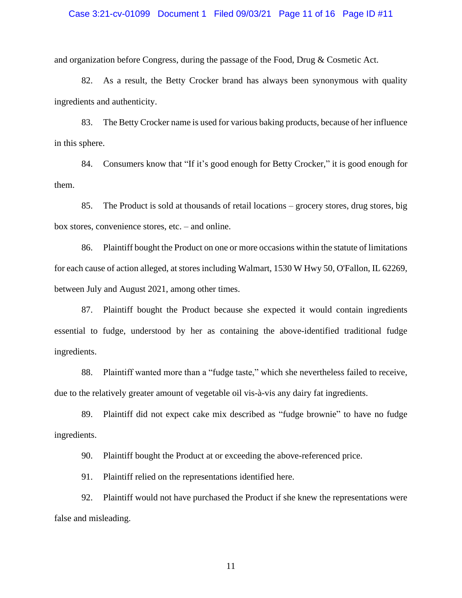### Case 3:21-cv-01099 Document 1 Filed 09/03/21 Page 11 of 16 Page ID #11

and organization before Congress, during the passage of the Food, Drug & Cosmetic Act.

82. As a result, the Betty Crocker brand has always been synonymous with quality ingredients and authenticity.

83. The Betty Crocker name is used for various baking products, because of her influence in this sphere.

84. Consumers know that "If it's good enough for Betty Crocker," it is good enough for them.

85. The Product is sold at thousands of retail locations – grocery stores, drug stores, big box stores, convenience stores, etc. – and online.

86. Plaintiff bought the Product on one or more occasions within the statute of limitations for each cause of action alleged, at stores including Walmart, 1530 W Hwy 50, O'Fallon, IL 62269, between July and August 2021, among other times.

87. Plaintiff bought the Product because she expected it would contain ingredients essential to fudge, understood by her as containing the above-identified traditional fudge ingredients.

88. Plaintiff wanted more than a "fudge taste," which she nevertheless failed to receive, due to the relatively greater amount of vegetable oil vis-à-vis any dairy fat ingredients.

89. Plaintiff did not expect cake mix described as "fudge brownie" to have no fudge ingredients.

90. Plaintiff bought the Product at or exceeding the above-referenced price.

91. Plaintiff relied on the representations identified here.

92. Plaintiff would not have purchased the Product if she knew the representations were false and misleading.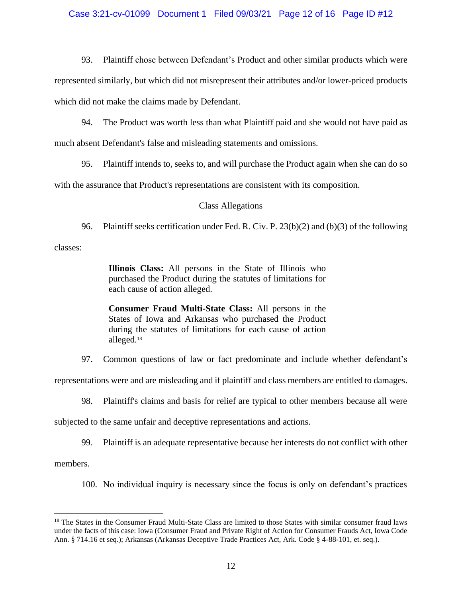## Case 3:21-cv-01099 Document 1 Filed 09/03/21 Page 12 of 16 Page ID #12

93. Plaintiff chose between Defendant's Product and other similar products which were

represented similarly, but which did not misrepresent their attributes and/or lower-priced products which did not make the claims made by Defendant.

94. The Product was worth less than what Plaintiff paid and she would not have paid as

much absent Defendant's false and misleading statements and omissions.

95. Plaintiff intends to, seeks to, and will purchase the Product again when she can do so

with the assurance that Product's representations are consistent with its composition.

## Class Allegations

96. Plaintiff seeks certification under Fed. R. Civ. P. 23(b)(2) and (b)(3) of the following

classes:

**Illinois Class:** All persons in the State of Illinois who purchased the Product during the statutes of limitations for each cause of action alleged.

**Consumer Fraud Multi-State Class:** All persons in the States of Iowa and Arkansas who purchased the Product during the statutes of limitations for each cause of action alleged.<sup>18</sup>

97. Common questions of law or fact predominate and include whether defendant's

representations were and are misleading and if plaintiff and class members are entitled to damages.

98. Plaintiff's claims and basis for relief are typical to other members because all were

subjected to the same unfair and deceptive representations and actions.

99. Plaintiff is an adequate representative because her interests do not conflict with other

members.

100. No individual inquiry is necessary since the focus is only on defendant's practices

<sup>&</sup>lt;sup>18</sup> The States in the Consumer Fraud Multi-State Class are limited to those States with similar consumer fraud laws under the facts of this case: Iowa (Consumer Fraud and Private Right of Action for Consumer Frauds Act, Iowa Code Ann. § 714.16 et seq.); Arkansas (Arkansas Deceptive Trade Practices Act, Ark. Code § 4-88-101, et. seq.).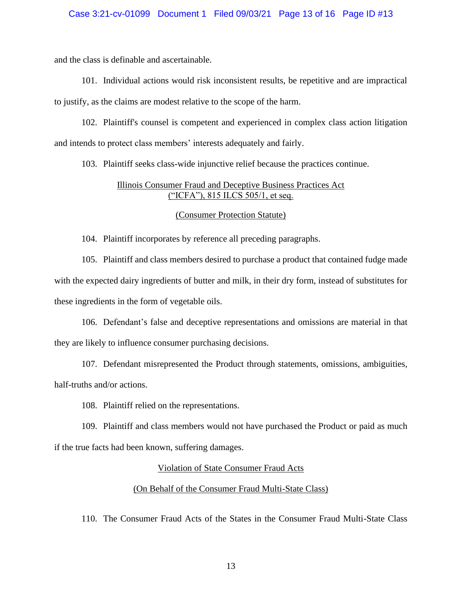## Case 3:21-cv-01099 Document 1 Filed 09/03/21 Page 13 of 16 Page ID #13

and the class is definable and ascertainable.

101. Individual actions would risk inconsistent results, be repetitive and are impractical to justify, as the claims are modest relative to the scope of the harm.

102. Plaintiff's counsel is competent and experienced in complex class action litigation and intends to protect class members' interests adequately and fairly.

103. Plaintiff seeks class-wide injunctive relief because the practices continue.

## Illinois Consumer Fraud and Deceptive Business Practices Act ("ICFA"), 815 ILCS 505/1, et seq.

## (Consumer Protection Statute)

104. Plaintiff incorporates by reference all preceding paragraphs.

105. Plaintiff and class members desired to purchase a product that contained fudge made with the expected dairy ingredients of butter and milk, in their dry form, instead of substitutes for these ingredients in the form of vegetable oils.

106. Defendant's false and deceptive representations and omissions are material in that they are likely to influence consumer purchasing decisions.

107. Defendant misrepresented the Product through statements, omissions, ambiguities, half-truths and/or actions.

108. Plaintiff relied on the representations.

109. Plaintiff and class members would not have purchased the Product or paid as much if the true facts had been known, suffering damages.

## Violation of State Consumer Fraud Acts

## (On Behalf of the Consumer Fraud Multi-State Class)

110. The Consumer Fraud Acts of the States in the Consumer Fraud Multi-State Class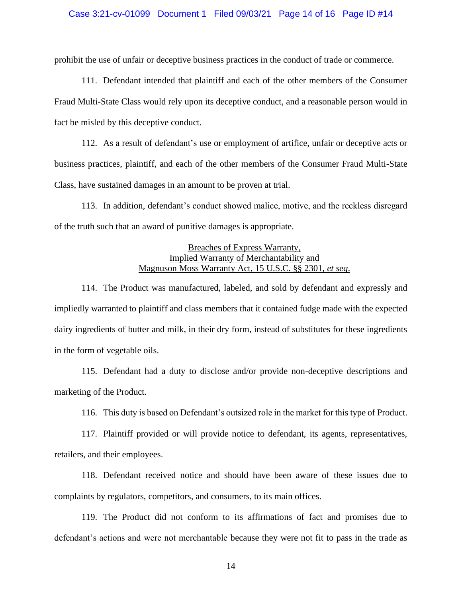## Case 3:21-cv-01099 Document 1 Filed 09/03/21 Page 14 of 16 Page ID #14

prohibit the use of unfair or deceptive business practices in the conduct of trade or commerce.

111. Defendant intended that plaintiff and each of the other members of the Consumer Fraud Multi-State Class would rely upon its deceptive conduct, and a reasonable person would in fact be misled by this deceptive conduct.

112. As a result of defendant's use or employment of artifice, unfair or deceptive acts or business practices, plaintiff, and each of the other members of the Consumer Fraud Multi-State Class, have sustained damages in an amount to be proven at trial.

113. In addition, defendant's conduct showed malice, motive, and the reckless disregard of the truth such that an award of punitive damages is appropriate.

## Breaches of Express Warranty, Implied Warranty of Merchantability and Magnuson Moss Warranty Act, 15 U.S.C. §§ 2301, *et seq*.

114. The Product was manufactured, labeled, and sold by defendant and expressly and impliedly warranted to plaintiff and class members that it contained fudge made with the expected dairy ingredients of butter and milk, in their dry form, instead of substitutes for these ingredients in the form of vegetable oils.

115. Defendant had a duty to disclose and/or provide non-deceptive descriptions and marketing of the Product.

116. This duty is based on Defendant's outsized role in the market for this type of Product.

117. Plaintiff provided or will provide notice to defendant, its agents, representatives, retailers, and their employees.

118. Defendant received notice and should have been aware of these issues due to complaints by regulators, competitors, and consumers, to its main offices.

119. The Product did not conform to its affirmations of fact and promises due to defendant's actions and were not merchantable because they were not fit to pass in the trade as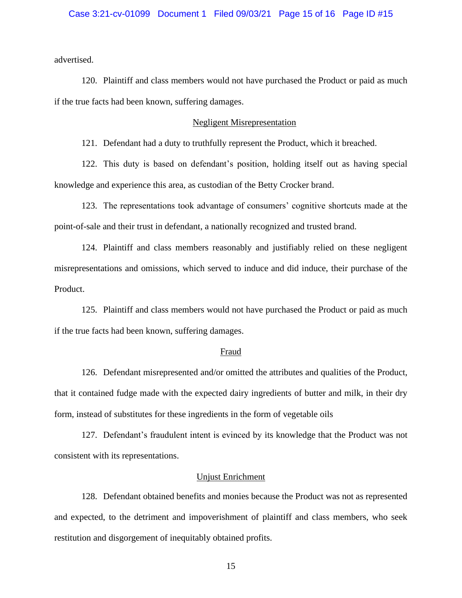advertised.

120. Plaintiff and class members would not have purchased the Product or paid as much if the true facts had been known, suffering damages.

## Negligent Misrepresentation

121. Defendant had a duty to truthfully represent the Product, which it breached.

122. This duty is based on defendant's position, holding itself out as having special knowledge and experience this area, as custodian of the Betty Crocker brand.

123. The representations took advantage of consumers' cognitive shortcuts made at the point-of-sale and their trust in defendant, a nationally recognized and trusted brand.

124. Plaintiff and class members reasonably and justifiably relied on these negligent misrepresentations and omissions, which served to induce and did induce, their purchase of the Product.

125. Plaintiff and class members would not have purchased the Product or paid as much if the true facts had been known, suffering damages.

#### Fraud

126. Defendant misrepresented and/or omitted the attributes and qualities of the Product, that it contained fudge made with the expected dairy ingredients of butter and milk, in their dry form, instead of substitutes for these ingredients in the form of vegetable oils

127. Defendant's fraudulent intent is evinced by its knowledge that the Product was not consistent with its representations.

#### Unjust Enrichment

128. Defendant obtained benefits and monies because the Product was not as represented and expected, to the detriment and impoverishment of plaintiff and class members, who seek restitution and disgorgement of inequitably obtained profits.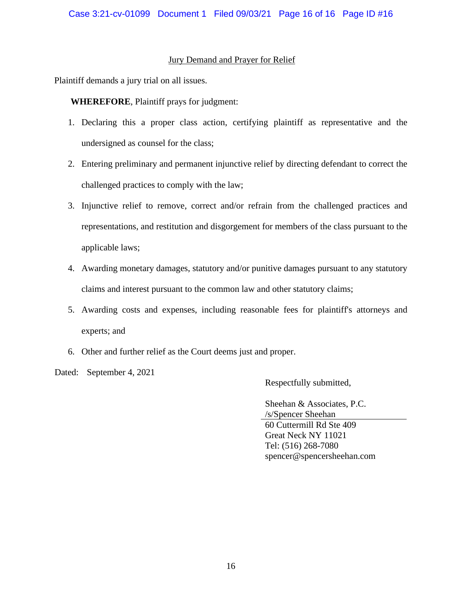## Jury Demand and Prayer for Relief

Plaintiff demands a jury trial on all issues.

**WHEREFORE**, Plaintiff prays for judgment:

- 1. Declaring this a proper class action, certifying plaintiff as representative and the undersigned as counsel for the class;
- 2. Entering preliminary and permanent injunctive relief by directing defendant to correct the challenged practices to comply with the law;
- 3. Injunctive relief to remove, correct and/or refrain from the challenged practices and representations, and restitution and disgorgement for members of the class pursuant to the applicable laws;
- 4. Awarding monetary damages, statutory and/or punitive damages pursuant to any statutory claims and interest pursuant to the common law and other statutory claims;
- 5. Awarding costs and expenses, including reasonable fees for plaintiff's attorneys and experts; and
- 6. Other and further relief as the Court deems just and proper.
- Dated: September 4, 2021

Respectfully submitted,

Sheehan & Associates, P.C. /s/Spencer Sheehan 60 Cuttermill Rd Ste 409 Great Neck NY 11021 Tel: (516) 268-7080 spencer@spencersheehan.com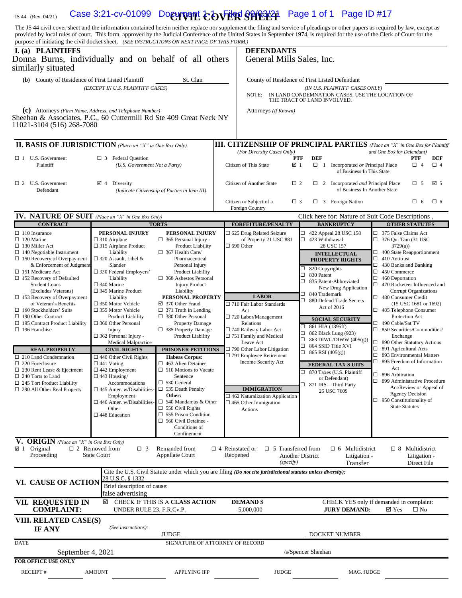## 1S 44 (Rev. 04/21) Case 3:21-cv-01099 Document **COVER SHEET** Page 1 of 1 Page ID #17

The JS 44 civil cover sheet and the information contained herein neither replace nor supplement the filing and service of pleadings or other papers as required by law, except as provided by local rules of court. This form, approved by the Judicial Conference of the United States in September 1974, is required for the use of the Clerk of Court for the purpose of initiating the civil docket sheet. *(SEE INSTRUCTIONS ON NEXT PAGE OF THIS FORM.)*

| r ---r ---- --- ----------<br>I. (a) PLAINTIFFS<br>Donna Burns, individually and on behalf of all others<br>similarly situated                                                                                                                                                                                                                                                                                                                                                                                                                                                                                                                                                               |                                                                                                                                                                                                                                                                                                                                                                                                                                                                                                                                                                                                                                                                                          |                                                                                                                                                                                                                                                                                                                                                                                                                                                                                                                                                                                                                                                                                                                                                              | <b>DEFENDANTS</b><br>General Mills Sales, Inc.                                                                                                                                                                                                                                                                                                                                                                        |                                                                                                                                                                                                                                                                                                                                                                                                                                                                                                                                                                            |                                                                                                                                                                                                                                                                                                                                                                                                                                                                                                                                                                                                                                                                                                                                                     |  |  |  |
|----------------------------------------------------------------------------------------------------------------------------------------------------------------------------------------------------------------------------------------------------------------------------------------------------------------------------------------------------------------------------------------------------------------------------------------------------------------------------------------------------------------------------------------------------------------------------------------------------------------------------------------------------------------------------------------------|------------------------------------------------------------------------------------------------------------------------------------------------------------------------------------------------------------------------------------------------------------------------------------------------------------------------------------------------------------------------------------------------------------------------------------------------------------------------------------------------------------------------------------------------------------------------------------------------------------------------------------------------------------------------------------------|--------------------------------------------------------------------------------------------------------------------------------------------------------------------------------------------------------------------------------------------------------------------------------------------------------------------------------------------------------------------------------------------------------------------------------------------------------------------------------------------------------------------------------------------------------------------------------------------------------------------------------------------------------------------------------------------------------------------------------------------------------------|-----------------------------------------------------------------------------------------------------------------------------------------------------------------------------------------------------------------------------------------------------------------------------------------------------------------------------------------------------------------------------------------------------------------------|----------------------------------------------------------------------------------------------------------------------------------------------------------------------------------------------------------------------------------------------------------------------------------------------------------------------------------------------------------------------------------------------------------------------------------------------------------------------------------------------------------------------------------------------------------------------------|-----------------------------------------------------------------------------------------------------------------------------------------------------------------------------------------------------------------------------------------------------------------------------------------------------------------------------------------------------------------------------------------------------------------------------------------------------------------------------------------------------------------------------------------------------------------------------------------------------------------------------------------------------------------------------------------------------------------------------------------------------|--|--|--|
| (b) County of Residence of First Listed Plaintiff<br>St. Clair<br>(EXCEPT IN U.S. PLAINTIFF CASES)                                                                                                                                                                                                                                                                                                                                                                                                                                                                                                                                                                                           |                                                                                                                                                                                                                                                                                                                                                                                                                                                                                                                                                                                                                                                                                          |                                                                                                                                                                                                                                                                                                                                                                                                                                                                                                                                                                                                                                                                                                                                                              | NOTE:                                                                                                                                                                                                                                                                                                                                                                                                                 | County of Residence of First Listed Defendant<br>(IN U.S. PLAINTIFF CASES ONLY)<br>IN LAND CONDEMNATION CASES, USE THE LOCATION OF THE TRACT OF LAND INVOLVED.                                                                                                                                                                                                                                                                                                                                                                                                             |                                                                                                                                                                                                                                                                                                                                                                                                                                                                                                                                                                                                                                                                                                                                                     |  |  |  |
| (c) Attorneys (Firm Name, Address, and Telephone Number)<br>Sheehan & Associates, P.C., 60 Cuttermill Rd Ste 409 Great Neck NY<br>11021-3104 (516) 268-7080                                                                                                                                                                                                                                                                                                                                                                                                                                                                                                                                  |                                                                                                                                                                                                                                                                                                                                                                                                                                                                                                                                                                                                                                                                                          |                                                                                                                                                                                                                                                                                                                                                                                                                                                                                                                                                                                                                                                                                                                                                              | Attorneys (If Known)                                                                                                                                                                                                                                                                                                                                                                                                  |                                                                                                                                                                                                                                                                                                                                                                                                                                                                                                                                                                            |                                                                                                                                                                                                                                                                                                                                                                                                                                                                                                                                                                                                                                                                                                                                                     |  |  |  |
| <b>II. BASIS OF JURISDICTION</b> (Place an "X" in One Box Only)                                                                                                                                                                                                                                                                                                                                                                                                                                                                                                                                                                                                                              |                                                                                                                                                                                                                                                                                                                                                                                                                                                                                                                                                                                                                                                                                          |                                                                                                                                                                                                                                                                                                                                                                                                                                                                                                                                                                                                                                                                                                                                                              |                                                                                                                                                                                                                                                                                                                                                                                                                       |                                                                                                                                                                                                                                                                                                                                                                                                                                                                                                                                                                            | <b>III. CITIZENSHIP OF PRINCIPAL PARTIES</b> (Place an "X" in One Box for Plaintiff                                                                                                                                                                                                                                                                                                                                                                                                                                                                                                                                                                                                                                                                 |  |  |  |
| $\Box$ 1 U.S. Government<br>$\Box$ 3 Federal Question<br>Plaintiff<br>(U.S. Government Not a Party)                                                                                                                                                                                                                                                                                                                                                                                                                                                                                                                                                                                          |                                                                                                                                                                                                                                                                                                                                                                                                                                                                                                                                                                                                                                                                                          |                                                                                                                                                                                                                                                                                                                                                                                                                                                                                                                                                                                                                                                                                                                                                              | (For Diversity Cases Only)<br>Citizen of This State<br>☑ 1                                                                                                                                                                                                                                                                                                                                                            | <b>DEF</b><br>PTF<br>□<br>1 Incorporated or Principal Place<br>of Business In This State                                                                                                                                                                                                                                                                                                                                                                                                                                                                                   | and One Box for Defendant)<br>PTF<br>DEF<br>$\Box$ 4<br>$\Box$ 4                                                                                                                                                                                                                                                                                                                                                                                                                                                                                                                                                                                                                                                                                    |  |  |  |
| $\Box$ 2 U.S. Government<br>Defendant                                                                                                                                                                                                                                                                                                                                                                                                                                                                                                                                                                                                                                                        | Diversity<br>☑ 4                                                                                                                                                                                                                                                                                                                                                                                                                                                                                                                                                                                                                                                                         | (Indicate Citizenship of Parties in Item III)                                                                                                                                                                                                                                                                                                                                                                                                                                                                                                                                                                                                                                                                                                                | <b>Citizen of Another State</b><br>$\Box$ 2                                                                                                                                                                                                                                                                                                                                                                           | 2 Incorporated and Principal Place<br>□<br>of Business In Another State                                                                                                                                                                                                                                                                                                                                                                                                                                                                                                    | ☑ 5<br>$\Box$ 5                                                                                                                                                                                                                                                                                                                                                                                                                                                                                                                                                                                                                                                                                                                                     |  |  |  |
|                                                                                                                                                                                                                                                                                                                                                                                                                                                                                                                                                                                                                                                                                              |                                                                                                                                                                                                                                                                                                                                                                                                                                                                                                                                                                                                                                                                                          |                                                                                                                                                                                                                                                                                                                                                                                                                                                                                                                                                                                                                                                                                                                                                              | Citizen or Subject of a<br>$\Box$ 3<br>Foreign Country                                                                                                                                                                                                                                                                                                                                                                | $\Box$ 3 Foreign Nation                                                                                                                                                                                                                                                                                                                                                                                                                                                                                                                                                    | $\square$ 6<br>$\Box$ 6                                                                                                                                                                                                                                                                                                                                                                                                                                                                                                                                                                                                                                                                                                                             |  |  |  |
| <b>IV. NATURE OF SUIT</b> (Place an "X" in One Box Only)                                                                                                                                                                                                                                                                                                                                                                                                                                                                                                                                                                                                                                     |                                                                                                                                                                                                                                                                                                                                                                                                                                                                                                                                                                                                                                                                                          |                                                                                                                                                                                                                                                                                                                                                                                                                                                                                                                                                                                                                                                                                                                                                              |                                                                                                                                                                                                                                                                                                                                                                                                                       | Click here for: Nature of Suit Code Descriptions.                                                                                                                                                                                                                                                                                                                                                                                                                                                                                                                          |                                                                                                                                                                                                                                                                                                                                                                                                                                                                                                                                                                                                                                                                                                                                                     |  |  |  |
| <b>CONTRACT</b><br>$\Box$ 110 Insurance                                                                                                                                                                                                                                                                                                                                                                                                                                                                                                                                                                                                                                                      | PERSONAL INJURY                                                                                                                                                                                                                                                                                                                                                                                                                                                                                                                                                                                                                                                                          | <b>TORTS</b><br>PERSONAL INJURY                                                                                                                                                                                                                                                                                                                                                                                                                                                                                                                                                                                                                                                                                                                              | <b>FORFEITURE/PENALTY</b><br>$\Box$ 625 Drug Related Seizure                                                                                                                                                                                                                                                                                                                                                          | <b>BANKRUPTCY</b><br>□<br>422 Appeal 28 USC 158                                                                                                                                                                                                                                                                                                                                                                                                                                                                                                                            | <b>OTHER STATUTES</b><br>□<br>375 False Claims Act                                                                                                                                                                                                                                                                                                                                                                                                                                                                                                                                                                                                                                                                                                  |  |  |  |
| $\Box$ 120 Marine<br>$\Box$ 130 Miller Act<br>$\Box$ 140 Negotiable Instrument<br>$\Box$ 150 Recovery of Overpayment<br>& Enforcement of Judgment<br>$\Box$ 151 Medicare Act<br>$\Box$ 152 Recovery of Defaulted<br><b>Student Loans</b><br>(Excludes Veterans)<br>$\Box$ 153 Recovery of Overpayment<br>of Veteran's Benefits<br>$\Box$ 160 Stockholders' Suits<br>$\Box$ 190 Other Contract<br>$\Box$ 195 Contract Product Liability<br>$\Box$ 196 Franchise<br><b>REAL PROPERTY</b><br>$\Box$ 210 Land Condemnation<br>$\Box$ 220 Foreclosure<br>$\Box$ 230 Rent Lease & Ejectment<br>$\Box$ 240 Torts to Land<br>$\Box$ 245 Tort Product Liability<br>$\Box$ 290 All Other Real Property | $\Box$ 310 Airplane<br>$\Box$ 315 Airplane Product<br>Liability<br>$\Box$ 320 Assault, Libel &<br>Slander<br>$\Box$ 330 Federal Employers'<br>Liability<br>$\square$ 340 Marine<br>$\Box$ 345 Marine Product<br>Liability<br>$\square$ 350 Motor Vehicle<br>$\square$ 355 Motor Vehicle<br><b>Product Liability</b><br>$\Box$ 360 Other Personal<br>Injury<br>$\Box$ 362 Personal Injury -<br>Medical Malpractice<br><b>CIVIL RIGHTS</b><br>$\Box$ 440 Other Civil Rights<br>$\Box$ 441 Voting<br>$\Box$ 442 Employment<br>$\Box$ 443 Housing/<br>Accommodations<br>$\square$ 445 Amer. w/Disabilities-<br>Employment<br>$\square$ 446 Amer. w/Disabilities-<br>Other<br>□ 448 Education | $\Box$ 365 Personal Injury -<br><b>Product Liability</b><br>$\Box$ 367 Health Care/<br>Pharmaceutical<br>Personal Injury<br><b>Product Liability</b><br>$\Box$ 368 Asbestos Personal<br><b>Injury Product</b><br>Liability<br>PERSONAL PROPERTY<br>☑ 370 Other Fraud<br>$\Box$ 371 Truth in Lending<br>$\Box$ 380 Other Personal<br>Property Damage<br>$\Box$ 385 Property Damage<br><b>Product Liability</b><br>PRISONER PETITIONS<br><b>Habeas Corpus:</b><br>$\Box$ 463 Alien Detainee<br>$\Box$ 510 Motions to Vacate<br>Sentence<br>$\square$ 530 General<br>$\Box$ 535 Death Penalty<br>Other:<br>$\Box$ 540 Mandamus & Other<br>$\Box$ 550 Civil Rights<br>$\Box$ 555 Prison Condition<br>$\Box$ 560 Civil Detainee -<br>Conditions of<br>Confinement | of Property 21 USC 881<br>$\Box$ 690 Other<br><b>LABOR</b><br>□ 710 Fair Labor Standards<br>Act<br>$\Box$ 720 Labor/Management<br>Relations<br>□ 740 Railway Labor Act<br>□ 751 Family and Medical<br>Leave Act<br>$\Box$ 790 Other Labor Litigation<br>□ 791 Employee Retirement<br>Income Security Act<br><b>IMMIGRATION</b><br>$\Box$ 462 Naturalization Application<br>$\square$ 465 Other Immigration<br>Actions | 423 Withdrawal<br>□<br>28 USC 157<br><b>INTELLECTUAL</b><br><b>PROPERTY RIGHTS</b><br>$\Box$ 820 Copyrights<br>□<br>830 Patent<br>□<br>835 Patent-Abbreviated<br>New Drug Application<br>□<br>840 Trademark<br>□<br>880 Defend Trade Secrets<br>Act of 2016<br><b>SOCIAL SECURITY</b><br>$\Box$<br>861 HIA (1395ff)<br>□<br>862 Black Lung (923)<br>$\Box$<br>863 DIWC/DIWW (405(g))<br>$\Box$<br>864 SSID Title XVI<br>□<br>865 RSI (405(g))<br><b>FEDERAL TAX S UITS</b><br>$\Box$ 870 Taxes (U.S. Plaintiff<br>or Defendant)<br>⊐<br>871 IRS-Third Party<br>26 USC 7609 | $\Box$ 376 Qui Tam (31 USC<br>3729(a)<br>400 State Reapportionment<br>┚<br>□<br>410 Antitrust<br>□<br>430 Banks and Banking<br>□<br>450 Commerce<br>□<br>460 Deportation<br>□ 470 Racketeer Influenced and<br><b>Corrupt Organizations</b><br>480 Consumer Credit<br>$(15$ USC 1681 or 1692)<br>$\Box$ 485 Telephone Consumer<br>Protection Act<br>□ 490 Cable/Sat TV<br>□ 850 Securities/Commodities/<br>Exchange<br>□ 890 Other Statutory Actions<br>$\Box$ 891 Agricultural Acts<br>$\Box$ 893 Environmental Matters<br>$\Box$ 895 Freedom of Information<br>Act<br>$\Box$ 896 Arbitration<br>□<br>899 Administrative Procedure<br>Act/Review or Appeal of<br><b>Agency Decision</b><br>$\Box$ 950 Constitutionality of<br><b>State Statutes</b> |  |  |  |
| V. ORIGIN (Place an "X" in One Box Only)<br>$\boxtimes$ 1 Original<br>Proceeding                                                                                                                                                                                                                                                                                                                                                                                                                                                                                                                                                                                                             | $\Box$ 2 Removed from<br>$\Box$ 3<br><b>State Court</b>                                                                                                                                                                                                                                                                                                                                                                                                                                                                                                                                                                                                                                  | Remanded from<br><b>Appellate Court</b>                                                                                                                                                                                                                                                                                                                                                                                                                                                                                                                                                                                                                                                                                                                      | $\Box$ 5 Transferred from<br>$\Box$ 4 Reinstated or<br>Reopened<br>(specify)                                                                                                                                                                                                                                                                                                                                          | $\Box$ 6 Multidistrict<br>Another District<br>Litigation -<br>Transfer                                                                                                                                                                                                                                                                                                                                                                                                                                                                                                     | $\Box$ 8 Multidistrict<br>Litigation -<br>Direct File                                                                                                                                                                                                                                                                                                                                                                                                                                                                                                                                                                                                                                                                                               |  |  |  |
| VI. CAUSE OF ACTION                                                                                                                                                                                                                                                                                                                                                                                                                                                                                                                                                                                                                                                                          | 28 U.S.C. § 1332<br>Brief description of cause:<br>false advertising                                                                                                                                                                                                                                                                                                                                                                                                                                                                                                                                                                                                                     |                                                                                                                                                                                                                                                                                                                                                                                                                                                                                                                                                                                                                                                                                                                                                              | Cite the U.S. Civil Statute under which you are filing (Do not cite jurisdictional statutes unless diversity):                                                                                                                                                                                                                                                                                                        |                                                                                                                                                                                                                                                                                                                                                                                                                                                                                                                                                                            |                                                                                                                                                                                                                                                                                                                                                                                                                                                                                                                                                                                                                                                                                                                                                     |  |  |  |
| VII. REQUESTED IN<br><b>COMPLAINT:</b>                                                                                                                                                                                                                                                                                                                                                                                                                                                                                                                                                                                                                                                       | ☑<br>UNDER RULE 23, F.R.Cv.P.                                                                                                                                                                                                                                                                                                                                                                                                                                                                                                                                                                                                                                                            | CHECK IF THIS IS A CLASS ACTION                                                                                                                                                                                                                                                                                                                                                                                                                                                                                                                                                                                                                                                                                                                              | <b>DEMAND \$</b><br>5,000,000                                                                                                                                                                                                                                                                                                                                                                                         | <b>JURY DEMAND:</b>                                                                                                                                                                                                                                                                                                                                                                                                                                                                                                                                                        | CHECK YES only if demanded in complaint:<br>$\boxtimes$ Yes<br>$\square$ No                                                                                                                                                                                                                                                                                                                                                                                                                                                                                                                                                                                                                                                                         |  |  |  |
| VIII. RELATED CASE(S)<br>IF ANY                                                                                                                                                                                                                                                                                                                                                                                                                                                                                                                                                                                                                                                              | (See instructions):                                                                                                                                                                                                                                                                                                                                                                                                                                                                                                                                                                                                                                                                      |                                                                                                                                                                                                                                                                                                                                                                                                                                                                                                                                                                                                                                                                                                                                                              |                                                                                                                                                                                                                                                                                                                                                                                                                       |                                                                                                                                                                                                                                                                                                                                                                                                                                                                                                                                                                            |                                                                                                                                                                                                                                                                                                                                                                                                                                                                                                                                                                                                                                                                                                                                                     |  |  |  |
|                                                                                                                                                                                                                                                                                                                                                                                                                                                                                                                                                                                                                                                                                              |                                                                                                                                                                                                                                                                                                                                                                                                                                                                                                                                                                                                                                                                                          | <b>JUDGE</b><br>SIGNATURE OF ATTORNEY OF RECORD                                                                                                                                                                                                                                                                                                                                                                                                                                                                                                                                                                                                                                                                                                              |                                                                                                                                                                                                                                                                                                                                                                                                                       | DOCKET NUMBER                                                                                                                                                                                                                                                                                                                                                                                                                                                                                                                                                              |                                                                                                                                                                                                                                                                                                                                                                                                                                                                                                                                                                                                                                                                                                                                                     |  |  |  |
| <b>DATE</b><br>September 4, 2021                                                                                                                                                                                                                                                                                                                                                                                                                                                                                                                                                                                                                                                             |                                                                                                                                                                                                                                                                                                                                                                                                                                                                                                                                                                                                                                                                                          |                                                                                                                                                                                                                                                                                                                                                                                                                                                                                                                                                                                                                                                                                                                                                              |                                                                                                                                                                                                                                                                                                                                                                                                                       | /s/Spencer Sheehan                                                                                                                                                                                                                                                                                                                                                                                                                                                                                                                                                         |                                                                                                                                                                                                                                                                                                                                                                                                                                                                                                                                                                                                                                                                                                                                                     |  |  |  |
| FOR OFFICE USE ONLY                                                                                                                                                                                                                                                                                                                                                                                                                                                                                                                                                                                                                                                                          |                                                                                                                                                                                                                                                                                                                                                                                                                                                                                                                                                                                                                                                                                          |                                                                                                                                                                                                                                                                                                                                                                                                                                                                                                                                                                                                                                                                                                                                                              |                                                                                                                                                                                                                                                                                                                                                                                                                       |                                                                                                                                                                                                                                                                                                                                                                                                                                                                                                                                                                            |                                                                                                                                                                                                                                                                                                                                                                                                                                                                                                                                                                                                                                                                                                                                                     |  |  |  |
| <b>RECEIPT#</b>                                                                                                                                                                                                                                                                                                                                                                                                                                                                                                                                                                                                                                                                              | <b>AMOUNT</b>                                                                                                                                                                                                                                                                                                                                                                                                                                                                                                                                                                                                                                                                            | <b>APPLYING IFP</b>                                                                                                                                                                                                                                                                                                                                                                                                                                                                                                                                                                                                                                                                                                                                          | <b>JUDGE</b>                                                                                                                                                                                                                                                                                                                                                                                                          | MAG. JUDGE                                                                                                                                                                                                                                                                                                                                                                                                                                                                                                                                                                 |                                                                                                                                                                                                                                                                                                                                                                                                                                                                                                                                                                                                                                                                                                                                                     |  |  |  |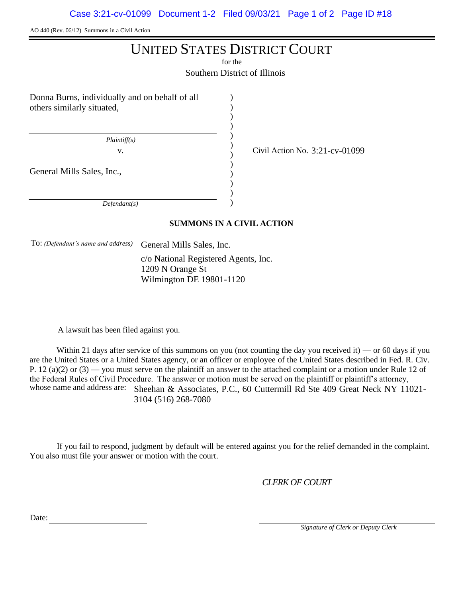AO 440 (Rev. 06/12) Summons in a Civil Action

# UNITED STATES DISTRICT COURT

for the

Southern District of Illinois

) ) ) ) ) ) ) ) ) ) ) )

Donna Burns, individually and on behalf of all others similarly situated,

 *Plaintiff(s)*

v.  $\overline{C}$  Civil Action No. 3:21-cv-01099

General Mills Sales, Inc.,

 *Defendant(s)*

## **SUMMONS IN A CIVIL ACTION**

To: *(Defendant's name and address)* General Mills Sales, Inc.

c/o National Registered Agents, Inc. 1209 N Orange St Wilmington DE 19801-1120

A lawsuit has been filed against you.

Within 21 days after service of this summons on you (not counting the day you received it) — or 60 days if you are the United States or a United States agency, or an officer or employee of the United States described in Fed. R. Civ. P. 12 (a)(2) or  $(3)$  — you must serve on the plaintiff an answer to the attached complaint or a motion under Rule 12 of the Federal Rules of Civil Procedure. The answer or motion must be served on the plaintiff or plaintiff's attorney, whose name and address are: Sheehan & Associates, P.C., 60 Cuttermill Rd Ste 409 Great Neck NY 11021-3104 (516) 268-7080

If you fail to respond, judgment by default will be entered against you for the relief demanded in the complaint. You also must file your answer or motion with the court.

*CLERK OF COURT*

Date:

 *Signature of Clerk or Deputy Clerk*